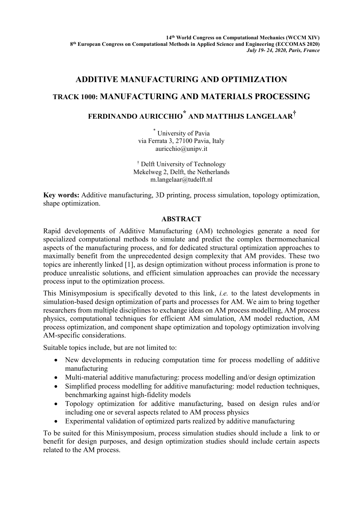### **ADDITIVE MANUFACTURING AND OPTIMIZATION**

## **TRACK 1000: MANUFACTURING AND MATERIALS PROCESSING**

# **FERDINANDO AURICCHIO \* AND MATTHIJS LANGELAAR†**

\* University of Pavia via Ferrata 3, 27100 Pavia, Italy auricchio@unipv.it

† Delft University of Technology Mekelweg 2, Delft, the Netherlands m.langelaar@tudelft.nl

**Key words:** Additive manufacturing, 3D printing, process simulation, topology optimization, shape optimization.

### **ABSTRACT**

Rapid developments of Additive Manufacturing (AM) technologies generate a need for specialized computational methods to simulate and predict the complex thermomechanical aspects of the manufacturing process, and for dedicated structural optimization approaches to maximally benefit from the unprecedented design complexity that AM provides. These two topics are inherently linked [1], as design optimization without process information is prone to produce unrealistic solutions, and efficient simulation approaches can provide the necessary process input to the optimization process.

This Minisymposium is specifically devoted to this link, *i.e.* to the latest developments in simulation-based design optimization of parts and processes for AM. We aim to bring together researchers from multiple disciplines to exchange ideas on AM process modelling, AM process physics, computational techniques for efficient AM simulation, AM model reduction, AM process optimization, and component shape optimization and topology optimization involving AM-specific considerations.

Suitable topics include, but are not limited to:

- New developments in reducing computation time for process modelling of additive manufacturing
- Multi-material additive manufacturing: process modelling and/or design optimization
- Simplified process modelling for additive manufacturing: model reduction techniques, benchmarking against high-fidelity models
- Topology optimization for additive manufacturing, based on design rules and/or including one or several aspects related to AM process physics
- Experimental validation of optimized parts realized by additive manufacturing

To be suited for this Minisymposium, process simulation studies should include a link to or benefit for design purposes, and design optimization studies should include certain aspects related to the AM process.